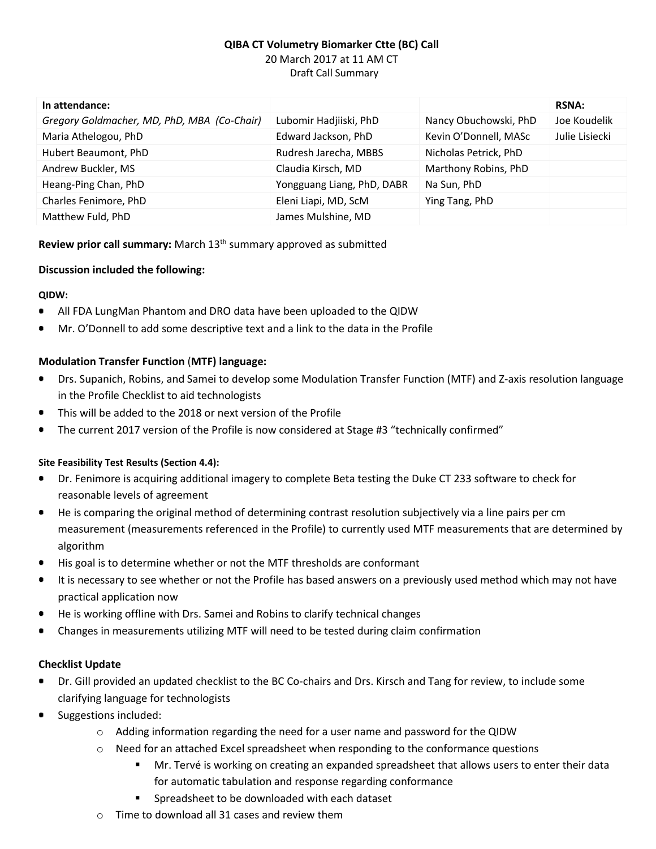# **QIBA CT Volumetry Biomarker Ctte (BC) Call** 20 March 2017 at 11 AM CT Draft Call Summary

| In attendance:                              |                            |                       | <b>RSNA:</b>   |
|---------------------------------------------|----------------------------|-----------------------|----------------|
| Gregory Goldmacher, MD, PhD, MBA (Co-Chair) | Lubomir Hadjiiski, PhD     | Nancy Obuchowski, PhD | Joe Koudelik   |
| Maria Athelogou, PhD                        | Edward Jackson, PhD        | Kevin O'Donnell, MASc | Julie Lisiecki |
| Hubert Beaumont, PhD                        | Rudresh Jarecha, MBBS      | Nicholas Petrick, PhD |                |
| Andrew Buckler, MS                          | Claudia Kirsch, MD         | Marthony Robins, PhD  |                |
| Heang-Ping Chan, PhD                        | Yongguang Liang, PhD, DABR | Na Sun, PhD           |                |
| Charles Fenimore, PhD                       | Eleni Liapi, MD, ScM       | Ying Tang, PhD        |                |
| Matthew Fuld, PhD                           | James Mulshine, MD         |                       |                |

**Review prior call summary:** March 13<sup>th</sup> summary approved as submitted

#### **Discussion included the following:**

### **QIDW:**

- All FDA LungMan Phantom and DRO data have been uploaded to the QIDW  $\bullet$
- Mr. O'Donnell to add some descriptive text and a link to the data in the Profile

### **Modulation Transfer Function** (**MTF) language:**

- Drs. Supanich, Robins, and Samei to develop some Modulation Transfer Function (MTF) and Z-axis resolution language in the Profile Checklist to aid technologists
- This will be added to the 2018 or next version of the Profile ٠
- The current 2017 version of the Profile is now considered at Stage #3 "technically confirmed"

#### **Site Feasibility Test Results (Section 4.4):**

- Dr. Fenimore is acquiring additional imagery to complete Beta testing the Duke CT 233 software to check for reasonable levels of agreement
- He is comparing the original method of determining contrast resolution subjectively via a line pairs per cm  $\bullet$ measurement (measurements referenced in the Profile) to currently used MTF measurements that are determined by algorithm
- His goal is to determine whether or not the MTF thresholds are conformant ۰
- It is necessary to see whether or not the Profile has based answers on a previously used method which may not have  $\bullet$ practical application now
- He is working offline with Drs. Samei and Robins to clarify technical changes
- Changes in measurements utilizing MTF will need to be tested during claim confirmation

#### **Checklist Update**

- Dr. Gill provided an updated checklist to the BC Co-chairs and Drs. Kirsch and Tang for review, to include some clarifying language for technologists
- $\bullet$ Suggestions included:
	- $\circ$  Adding information regarding the need for a user name and password for the QIDW
	- o Need for an attached Excel spreadsheet when responding to the conformance questions
		- **Mr.** Tervé is working on creating an expanded spreadsheet that allows users to enter their data for automatic tabulation and response regarding conformance
		- Spreadsheet to be downloaded with each dataset
	- Time to download all 31 cases and review them